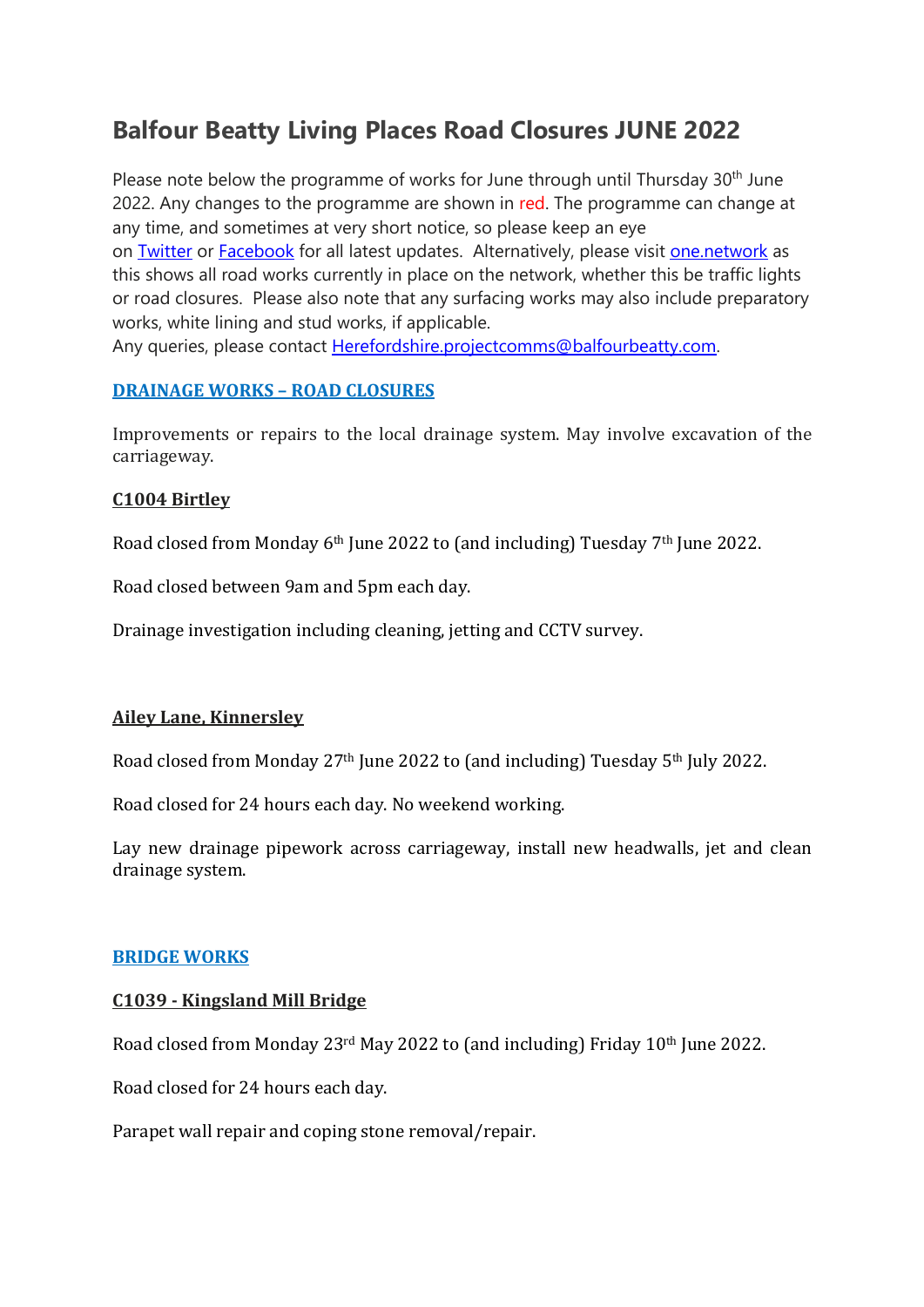# **Balfour Beatty Living Places Road Closures JUNE 2022**

Please note below the programme of works for June through until Thursday 30<sup>th</sup> June 2022. Any changes to the programme are shown in red. The programme can change at any time, and sometimes at very short notice, so please keep an eye on Twitter or Facebook for all latest updates. Alternatively, please visit one.network as this shows all road works currently in place on the network, whether this be traffic lights or road closures. Please also note that any surfacing works may also include preparatory works, white lining and stud works, if applicable.

Any queries, please contact Herefordshire.projectcomms@balfourbeatty.com.

#### **DRAINAGE WORKS – ROAD CLOSURES**

Improvements or repairs to the local drainage system. May involve excavation of the carriageway.

## **C1004 Birtley**

Road closed from Monday 6th June 2022 to (and including) Tuesday 7th June 2022.

Road closed between 9am and 5pm each day.

Drainage investigation including cleaning, jetting and CCTV survey.

# **Ailey Lane, Kinnersley**

Road closed from Monday 27th June 2022 to (and including) Tuesday 5th July 2022.

Road closed for 24 hours each day. No weekend working.

Lay new drainage pipework across carriageway, install new headwalls, jet and clean drainage system.

#### **BRIDGE WORKS**

#### **C1039 - Kingsland Mill Bridge**

Road closed from Monday 23rd May 2022 to (and including) Friday 10th June 2022.

Road closed for 24 hours each day.

Parapet wall repair and coping stone removal/repair.